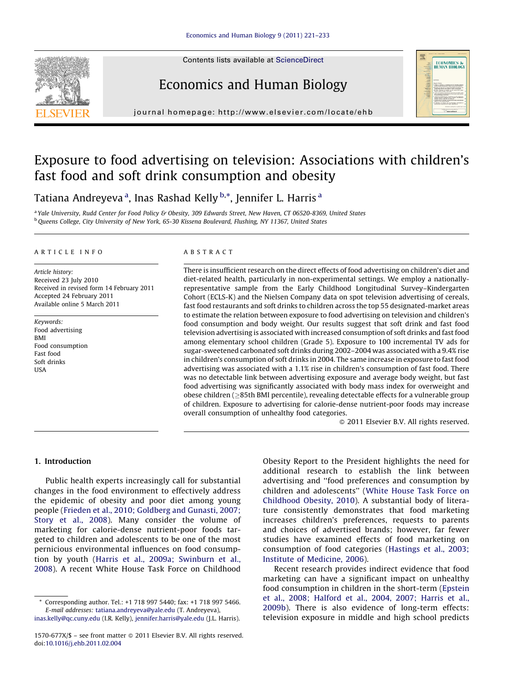Contents lists available at [ScienceDirect](http://www.sciencedirect.com/science/journal/1570677X)

# Economics and Human Biology



journal homepage: http://www.elsevier.com/locate/ehb

# Exposure to food advertising on television: Associations with children's fast food and soft drink consumption and obesity

Tatiana Andreyeva <sup>a</sup>, Inas Rashad Kelly <sup>b,</sup>\*, Jennifer L. Harris <sup>a</sup>

<sup>a</sup> Yale University, Rudd Center for Food Policy & Obesity, 309 Edwards Street, New Haven, CT 06520-8369, United States b Queens College, City University of New York, 65-30 Kissena Boulevard, Flushing, NY 11367, United States

### A R T I C L E I N F O

Article history: Received 23 July 2010 Received in revised form 14 February 2011 Accepted 24 February 2011 Available online 5 March 2011

Keywords: Food advertising **BMI** Food consumption Fast food Soft drinks **IISA** 

# A B S T R A C T

There is insufficient research on the direct effects of food advertising on children's diet and diet-related health, particularly in non-experimental settings. We employ a nationallyrepresentative sample from the Early Childhood Longitudinal Survey–Kindergarten Cohort (ECLS-K) and the Nielsen Company data on spot television advertising of cereals, fast food restaurants and soft drinks to children across the top 55 designated-market areas to estimate the relation between exposure to food advertising on television and children's food consumption and body weight. Our results suggest that soft drink and fast food television advertising is associated with increased consumption of soft drinks and fastfood among elementary school children (Grade 5). Exposure to 100 incremental TV ads for sugar-sweetened carbonated soft drinks during 2002–2004 was associated with a 9.4% rise in children's consumption of soft drinks in 2004. The same increase in exposure to fast food advertising was associated with a 1.1% rise in children's consumption of fast food. There was no detectable link between advertising exposure and average body weight, but fast food advertising was significantly associated with body mass index for overweight and obese children ( $\geq$ 85th BMI percentile), revealing detectable effects for a vulnerable group of children. Exposure to advertising for calorie-dense nutrient-poor foods may increase overall consumption of unhealthy food categories.

- 2011 Elsevier B.V. All rights reserved.

# 1. Introduction

Public health experts increasingly call for substantial changes in the food environment to effectively address the epidemic of obesity and poor diet among young people (Frieden et al., 2010; [Goldberg](#page--1-0) and Gunasti, 2007; [Story](#page--1-0) et al., 2008). Many consider the volume of marketing for calorie-dense nutrient-poor foods targeted to children and adolescents to be one of the most pernicious environmental influences on food consumption by youth (Harris et al., 2009a; [Swinburn](#page--1-0) et al., [2008](#page--1-0)). A recent White House Task Force on Childhood

Obesity Report to the President highlights the need for additional research to establish the link between advertising and ''food preferences and consumption by children and adolescents'' (White [House](#page--1-0) Task Force on [Childhood](#page--1-0) Obesity, 2010). A substantial body of literature consistently demonstrates that food marketing increases children's preferences, requests to parents and choices of advertised brands; however, far fewer studies have examined effects of food marketing on consumption of food categories ([Hastings](#page--1-0) et al., 2003; Institute of [Medicine,](#page--1-0) 2006).

Recent research provides indirect evidence that food marketing can have a significant impact on unhealthy food consumption in children in the short-term [\(Epstein](#page--1-0) et al., 2008; [Halford](#page--1-0) et al., 2004, 2007; Harris et al., [2009b](#page--1-0)). There is also evidence of long-term effects: television exposure in middle and high school predicts

<sup>\*</sup> Corresponding author. Tel.: +1 718 997 5440; fax: +1 718 997 5466. E-mail addresses: [tatiana.andreyeva@yale.edu](mailto:tatiana.andreyeva@yale.edu) (T. Andreyeva), [inas.kelly@qc.cuny.edu](mailto:inas.kelly@qc.cuny.edu) (I.R. Kelly), [jennifer.harris@yale.edu](mailto:jennifer.harris@yale.edu) (J.L. Harris).

<sup>1570-677</sup>X/\$ – see front matter © 2011 Elsevier B.V. All rights reserved. doi:[10.1016/j.ehb.2011.02.004](http://dx.doi.org/10.1016/j.ehb.2011.02.004)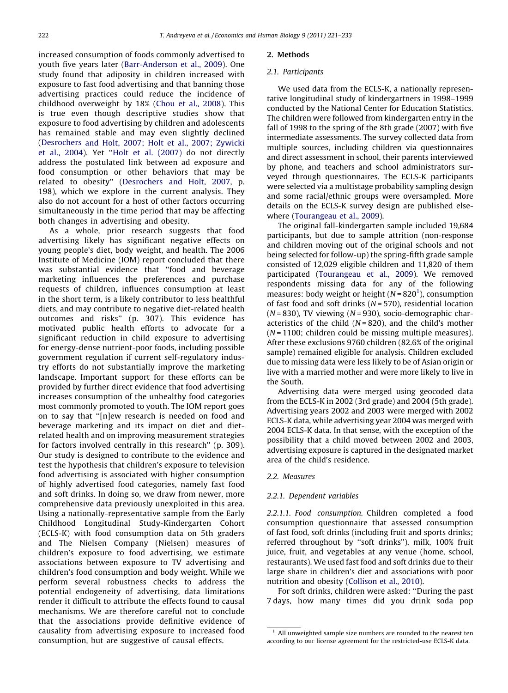increased consumption of foods commonly advertised to youth five years later [\(Barr-Anderson](#page--1-0) et al., 2009). One study found that adiposity in children increased with exposure to fast food advertising and that banning those advertising practices could reduce the incidence of childhood overweight by 18% [\(Chou](#page--1-0) et al., 2008). This is true even though descriptive studies show that exposure to food advertising by children and adolescents has remained stable and may even slightly declined [\(Desrochers](#page--1-0) and Holt, 2007; Holt et al., 2007; Zywicki et al., [2004](#page--1-0)). Yet ''Holt et al. [\(2007\)](#page--1-0) do not directly address the postulated link between ad exposure and food consumption or other behaviors that may be related to obesity'' [\(Desrochers](#page--1-0) and Holt, 2007, p. 198), which we explore in the current analysis. They also do not account for a host of other factors occurring simultaneously in the time period that may be affecting both changes in advertising and obesity.

As a whole, prior research suggests that food advertising likely has significant negative effects on young people's diet, body weight, and health. The 2006 Institute of Medicine (IOM) report concluded that there was substantial evidence that ''food and beverage marketing influences the preferences and purchase requests of children, influences consumption at least in the short term, is a likely contributor to less healthful diets, and may contribute to negative diet-related health outcomes and risks'' (p. 307). This evidence has motivated public health efforts to advocate for a significant reduction in child exposure to advertising for energy-dense nutrient-poor foods, including possible government regulation if current self-regulatory industry efforts do not substantially improve the marketing landscape. Important support for these efforts can be provided by further direct evidence that food advertising increases consumption of the unhealthy food categories most commonly promoted to youth. The IOM report goes on to say that ''[n]ew research is needed on food and beverage marketing and its impact on diet and dietrelated health and on improving measurement strategies for factors involved centrally in this research'' (p. 309). Our study is designed to contribute to the evidence and test the hypothesis that children's exposure to television food advertising is associated with higher consumption of highly advertised food categories, namely fast food and soft drinks. In doing so, we draw from newer, more comprehensive data previously unexploited in this area. Using a nationally-representative sample from the Early Childhood Longitudinal Study-Kindergarten Cohort (ECLS-K) with food consumption data on 5th graders and The Nielsen Company (Nielsen) measures of children's exposure to food advertising, we estimate associations between exposure to TV advertising and children's food consumption and body weight. While we perform several robustness checks to address the potential endogeneity of advertising, data limitations render it difficult to attribute the effects found to causal mechanisms. We are therefore careful not to conclude that the associations provide definitive evidence of causality from advertising exposure to increased food consumption, but are suggestive of causal effects.

#### 2. Methods

#### 2.1. Participants

We used data from the ECLS-K, a nationally representative longitudinal study of kindergartners in 1998–1999 conducted by the National Center for Education Statistics. The children were followed from kindergarten entry in the fall of 1998 to the spring of the 8th grade (2007) with five intermediate assessments. The survey collected data from multiple sources, including children via questionnaires and direct assessment in school, their parents interviewed by phone, and teachers and school administrators surveyed through questionnaires. The ECLS-K participants were selected via a multistage probability sampling design and some racial/ethnic groups were oversampled. More details on the ECLS-K survey design are published elsewhere [\(Tourangeau](#page--1-0) et al., 2009).

The original fall-kindergarten sample included 19,684 participants, but due to sample attrition (non-response and children moving out of the original schools and not being selected for follow-up) the spring-fifth grade sample consisted of 12,029 eligible children and 11,820 of them participated ([Tourangeau](#page--1-0) et al., 2009). We removed respondents missing data for any of the following measures: body weight or height ( $N = 820<sup>1</sup>$ ), consumption of fast food and soft drinks ( $N = 570$ ), residential location  $(N = 830)$ , TV viewing  $(N = 930)$ , socio-demographic characteristics of the child  $(N = 820)$ , and the child's mother  $(N = 1100;$  children could be missing multiple measures). After these exclusions 9760 children (82.6% of the original sample) remained eligible for analysis. Children excluded due to missing data were less likely to be of Asian origin or live with a married mother and were more likely to live in the South.

Advertising data were merged using geocoded data from the ECLS-K in 2002 (3rd grade) and 2004 (5th grade). Advertising years 2002 and 2003 were merged with 2002 ECLS-K data, while advertising year 2004 was merged with 2004 ECLS-K data. In that sense, with the exception of the possibility that a child moved between 2002 and 2003, advertising exposure is captured in the designated market area of the child's residence.

### 2.2. Measures

#### 2.2.1. Dependent variables

2.2.1.1. Food consumption. Children completed a food consumption questionnaire that assessed consumption of fast food, soft drinks (including fruit and sports drinks; referred throughout by ''soft drinks''), milk, 100% fruit juice, fruit, and vegetables at any venue (home, school, restaurants). We used fast food and soft drinks due to their large share in children's diet and associations with poor nutrition and obesity ([Collison](#page--1-0) et al., 2010).

For soft drinks, children were asked: ''During the past 7 days, how many times did you drink soda pop

All unweighted sample size numbers are rounded to the nearest ten according to our license agreement for the restricted-use ECLS-K data.